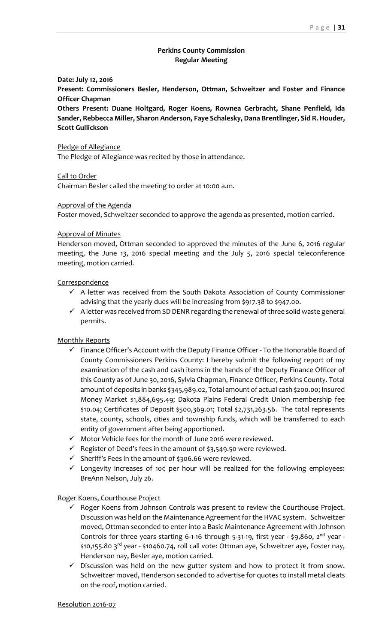## **Perkins County Commission Regular Meeting**

### **Date: July 12, 2016**

**Present: Commissioners Besler, Henderson, Ottman, Schweitzer and Foster and Finance Officer Chapman**

**Others Present: Duane Holtgard, Roger Koens, Rownea Gerbracht, Shane Penfield, Ida Sander, Rebbecca Miller, Sharon Anderson, Faye Schalesky, Dana Brentlinger, Sid R. Houder, Scott Gullickson**

### Pledge of Allegiance

The Pledge of Allegiance was recited by those in attendance.

Call to Order

Chairman Besler called the meeting to order at 10:00 a.m.

### Approval of the Agenda

Foster moved, Schweitzer seconded to approve the agenda as presented, motion carried.

### Approval of Minutes

Henderson moved, Ottman seconded to approved the minutes of the June 6, 2016 regular meeting, the June 13, 2016 special meeting and the July 5, 2016 special teleconference meeting, motion carried.

### Correspondence

- $\checkmark$  A letter was received from the South Dakota Association of County Commissioner advising that the yearly dues will be increasing from \$917.38 to \$947.00.
- $\checkmark$  A letter was received from SD DENR regarding the renewal of three solid waste general permits.

## Monthly Reports

- $\checkmark$  Finance Officer's Account with the Deputy Finance Officer To the Honorable Board of County Commissioners Perkins County: I hereby submit the following report of my examination of the cash and cash items in the hands of the Deputy Finance Officer of this County as of June 30, 2016, Sylvia Chapman, Finance Officer, Perkins County. Total amount of deposits in banks \$345,989.02, Total amount of actual cash \$200.00; Insured Money Market \$1,884,695.49; Dakota Plains Federal Credit Union membership fee \$10.04; Certificates of Deposit \$500,369.01; Total \$2,731,263.56. The total represents state, county, schools, cities and township funds, which will be transferred to each entity of government after being apportioned.
- $\checkmark$  Motor Vehicle fees for the month of June 2016 were reviewed.
- $\checkmark$  Register of Deed's fees in the amount of \$3,549.50 were reviewed.
- $\checkmark$  Sheriff's Fees in the amount of \$306.66 were reviewed.
- $\checkmark$  Longevity increases of 10 $\checkmark$  per hour will be realized for the following employees: BreAnn Nelson, July 26.

## Roger Koens, Courthouse Project

- $\checkmark$  Roger Koens from Johnson Controls was present to review the Courthouse Project. Discussion was held on the Maintenance Agreement for the HVAC system. Schweitzer moved, Ottman seconded to enter into a Basic Maintenance Agreement with Johnson Controls for three years starting 6-1-16 through 5-31-19, first year - \$9,860, 2<sup>nd</sup> year -\$10,155.80 3rd year - \$10460.74, roll call vote: Ottman aye, Schweitzer aye, Foster nay, Henderson nay, Besler aye, motion carried.
- $\checkmark$  Discussion was held on the new gutter system and how to protect it from snow. Schweitzer moved, Henderson seconded to advertise for quotes to install metal cleats on the roof, motion carried.

#### Resolution 2016-07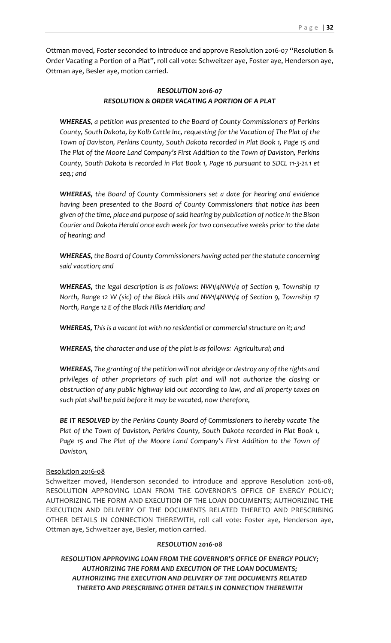Ottman moved, Foster seconded to introduce and approve Resolution 2016-07 "Resolution & Order Vacating a Portion of a Plat", roll call vote: Schweitzer aye, Foster aye, Henderson aye, Ottman aye, Besler aye, motion carried.

# *RESOLUTION 2016-07 RESOLUTION & ORDER VACATING A PORTION OF A PLAT*

*WHEREAS, a petition was presented to the Board of County Commissioners of Perkins County, South Dakota, by Kolb Cattle Inc, requesting for the Vacation of The Plat of the Town of Daviston, Perkins County, South Dakota recorded in Plat Book 1, Page 15 and The Plat of the Moore Land Company's First Addition to the Town of Daviston, Perkins County, South Dakota is recorded in Plat Book 1, Page 16 pursuant to SDCL 11-3-21.1 et seq.; and*

*WHEREAS, the Board of County Commissioners set a date for hearing and evidence having been presented to the Board of County Commissioners that notice has been given of the time, place and purpose of said hearing by publication of notice in the Bison Courier and Dakota Herald once each week for two consecutive weeks prior to the date of hearing; and* 

*WHEREAS, the Board of County Commissioners having acted per the statute concerning said vacation; and*

*WHEREAS, the legal description is as follows: NW1/4NW1/4 of Section 9, Township 17 North, Range 12 W (sic) of the Black Hills and NW1/4NW1/4 of Section 9, Township 17 North, Range 12 E of the Black Hills Meridian; and*

**WHEREAS,** This is a vacant lot with no residential or commercial structure on it; and

*WHEREAS, the character and use of the plat is as follows: Agricultural; and* 

*WHEREAS, The granting of the petition will not abridge or destroy any of the rights and privileges of other proprietors of such plat and will not authorize the closing or obstruction of any public highway laid out according to law, and all property taxes on such plat shall be paid before it may be vacated, now therefore,* 

*BE IT RESOLVED by the Perkins County Board of Commissioners to hereby vacate The Plat of the Town of Daviston, Perkins County, South Dakota recorded in Plat Book 1,*  Page 15 and The Plat of the Moore Land Company's First Addition to the Town of *Daviston,*

## Resolution 2016-08

Schweitzer moved, Henderson seconded to introduce and approve Resolution 2016-08, RESOLUTION APPROVING LOAN FROM THE GOVERNOR'S OFFICE OF ENERGY POLICY; AUTHORIZING THE FORM AND EXECUTION OF THE LOAN DOCUMENTS; AUTHORIZING THE EXECUTION AND DELIVERY OF THE DOCUMENTS RELATED THERETO AND PRESCRIBING OTHER DETAILS IN CONNECTION THEREWITH, roll call vote: Foster aye, Henderson aye, Ottman aye, Schweitzer aye, Besler, motion carried.

## *RESOLUTION 2016-08*

*RESOLUTION APPROVING LOAN FROM THE GOVERNOR'S OFFICE OF ENERGY POLICY; AUTHORIZING THE FORM AND EXECUTION OF THE LOAN DOCUMENTS; AUTHORIZING THE EXECUTION AND DELIVERY OF THE DOCUMENTS RELATED THERETO AND PRESCRIBING OTHER DETAILS IN CONNECTION THEREWITH*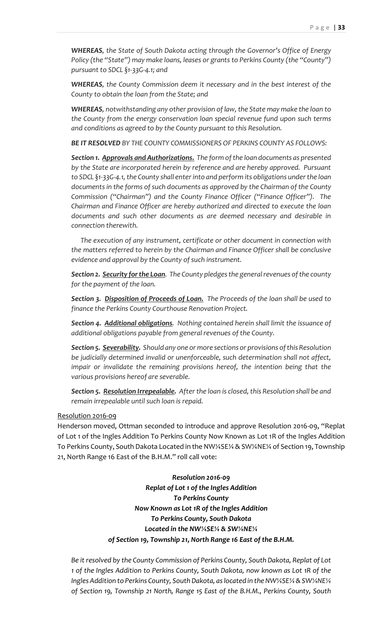*WHEREAS, the State of South Dakota acting through the Governor's Office of Energy Policy (the "State") may make loans, leases or grants to Perkins County (the "County") pursuant to SDCL §1-33G-4.1; and*

*WHEREAS, the County Commission deem it necessary and in the best interest of the County to obtain the loan from the State; and* 

*WHEREAS, notwithstanding any other provision of law, the State may make the loan to the County from the energy conservation loan special revenue fund upon such terms and conditions as agreed to by the County pursuant to this Resolution.*

*BE IT RESOLVED BY THE COUNTY COMMISSIONERS OF PERKINS COUNTY AS FOLLOWS:*

*Section 1. Approvals and Authorizations. The form of the loan documents as presented by the State are incorporated herein by reference and are hereby approved. Pursuant to SDCL §1-33G-4.1, the County shall enter into and perform its obligations under the loan documents in the forms of such documents as approved by the Chairman of the County Commission ("Chairman") and the County Finance Officer ("Finance Officer"). The Chairman and Finance Officer are hereby authorized and directed to execute the loan documents and such other documents as are deemed necessary and desirable in connection therewith.* 

*The execution of any instrument, certificate or other document in connection with the matters referred to herein by the Chairman and Finance Officer shall be conclusive evidence and approval by the County of such instrument.*

*Section 2. Security for the Loan. The County pledges the general revenues of the county for the payment of the loan.* 

*Section 3. Disposition of Proceeds of Loan. The Proceeds of the loan shall be used to finance the Perkins County Courthouse Renovation Project.*

*Section 4. Additional obligations. Nothing contained herein shall limit the issuance of additional obligations payable from general revenues of the County.*

*Section 5. Severability. Should any one or more sections or provisions of this Resolution be judicially determined invalid or unenforceable, such determination shall not affect, impair or invalidate the remaining provisions hereof, the intention being that the various provisions hereof are severable.*

*Section 5. Resolution Irrepealable. After the loan is closed, this Resolution shall be and remain irrepealable until such loan is repaid.*

#### Resolution 2016-09

Henderson moved, Ottman seconded to introduce and approve Resolution 2016-09, "Replat of Lot 1 of the Ingles Addition To Perkins County Now Known as Lot 1R of the Ingles Addition To Perkins County, South Dakota Located in the NW¼SE¼ & SW¼NE¼ of Section 19, Township 21, North Range 16 East of the B.H.M." roll call vote:

> *Resolution 2016-09 Replat of Lot 1 of the Ingles Addition To Perkins County Now Known as Lot 1R of the Ingles Addition To Perkins County, South Dakota Located in the NW¼SE¼ & SW¼NE¼ of Section 19, Township 21, North Range 16 East of the B.H.M.*

*Be it resolved by the County Commission of Perkins County, South Dakota, Replat of Lot 1 of the Ingles Addition to Perkins County, South Dakota, now known as Lot 1R of the Ingles Addition to Perkins County, South Dakota, as located in the NW¼SE¼ & SW¼NE¼ of Section 19, Township 21 North, Range 15 East of the B.H.M., Perkins County, South*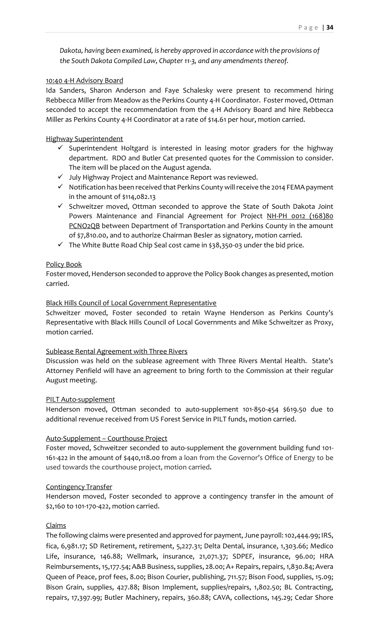*Dakota, having been examined, is hereby approved in accordance with the provisions of the South Dakota Compiled Law, Chapter 11-3, and any amendments thereof.*

### 10:40 4-H Advisory Board

Ida Sanders, Sharon Anderson and Faye Schalesky were present to recommend hiring Rebbecca Miller from Meadow as the Perkins County 4-H Coordinator. Foster moved, Ottman seconded to accept the recommendation from the 4-H Advisory Board and hire Rebbecca Miller as Perkins County 4-H Coordinator at a rate of \$14.61 per hour, motion carried.

## Highway Superintendent

- $\checkmark$  Superintendent Holtgard is interested in leasing motor graders for the highway department. RDO and Butler Cat presented quotes for the Commission to consider. The item will be placed on the August agenda.
- $\checkmark$  July Highway Project and Maintenance Report was reviewed.
- $\checkmark$  Notification has been received that Perkins County will receive the 2014 FEMA payment in the amount of \$114,082.13
- $\checkmark$  Schweitzer moved, Ottman seconded to approve the State of South Dakota Joint Powers Maintenance and Financial Agreement for Project NH-PH 0012 (168)80 PCNO2QB between Department of Transportation and Perkins County in the amount of \$7,810.00, and to authorize Chairman Besler as signatory, motion carried.
- $\checkmark$  The White Butte Road Chip Seal cost came in \$38,350-03 under the bid price.

## Policy Book

Foster moved, Henderson seconded to approve the Policy Book changes as presented, motion carried.

### Black Hills Council of Local Government Representative

Schweitzer moved, Foster seconded to retain Wayne Henderson as Perkins County's Representative with Black Hills Council of Local Governments and Mike Schweitzer as Proxy, motion carried.

## Sublease Rental Agreement with Three Rivers

Discussion was held on the sublease agreement with Three Rivers Mental Health. State's Attorney Penfield will have an agreement to bring forth to the Commission at their regular August meeting.

## PILT Auto-supplement

Henderson moved, Ottman seconded to auto-supplement 101-850-454 \$619.50 due to additional revenue received from US Forest Service in PILT funds, motion carried.

## Auto-Supplement – Courthouse Project

Foster moved, Schweitzer seconded to auto-supplement the government building fund 101- 161-422 in the amount of \$440,118.00 from a loan from the Governor's Office of Energy to be used towards the courthouse project, motion carried*.*

#### Contingency Transfer

Henderson moved, Foster seconded to approve a contingency transfer in the amount of \$2,160 to 101-170-422, motion carried.

## Claims

The following claims were presented and approved for payment, June payroll: 102,444.99; IRS, fica, 6,981.17; SD Retirement, retirement, 5,227.31; Delta Dental, insurance, 1,303.66; Medico Life, insurance, 146.88; Wellmark, insurance, 21,071.37; SDPEF, insurance, 96.00; HRA Reimbursements, 15,177.54; A&B Business, supplies, 28.00; A+ Repairs, repairs, 1,830.84; Avera Queen of Peace, prof fees, 8.00; Bison Courier, publishing, 711.57; Bison Food, supplies, 15.09; Bison Grain, supplies, 427.88; Bison Implement, supplies/repairs, 1,802.50; BL Contracting, repairs, 17,397.99; Butler Machinery, repairs, 360.88; CAVA, collections, 145.29; Cedar Shore